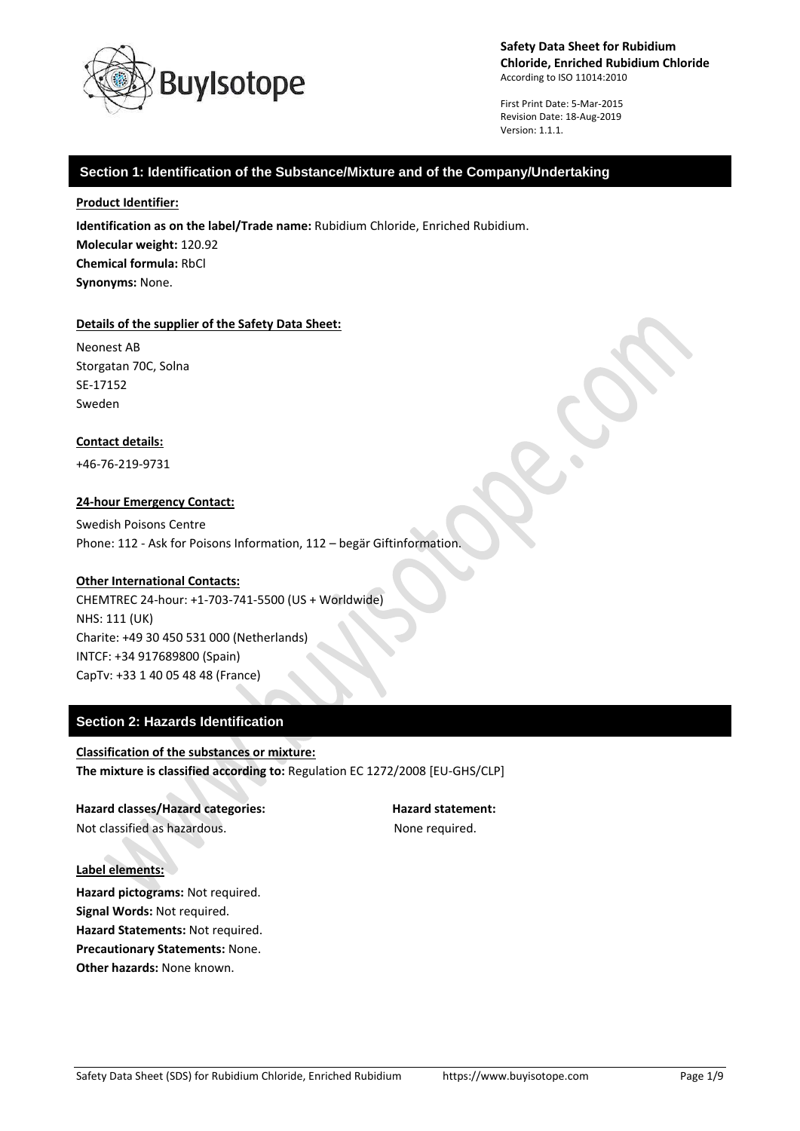

First Print Date: 5-Mar-2015 Revision Date: 18-Aug-2019 Version: 1.1.1.

### **Section 1: Identification of the Substance/Mixture and of the Company/Undertaking**

#### **Product Identifier:**

**Identification as on the label/Trade name:** Rubidium Chloride, Enriched Rubidium. **Molecular weight:** 120.92 **Chemical formula:** RbCl **Synonyms:** None.

#### **Details of the supplier of the Safety Data Sheet:**

Neonest AB Storgatan 70C, Solna SE-17152 Sweden

### **Contact details:**

+46-76-219-9731

### **24-hour Emergency Contact:**

Swedish Poisons Centre Phone: 112 - Ask for Poisons Information, 112 – begär Giftinformation.

### **Other International Contacts:**

CHEMTREC 24-hour: +1-703-741-5500 (US + Worldwide) NHS: 111 (UK) Charite: +49 30 450 531 000 (Netherlands) INTCF: +34 917689800 (Spain) CapTv: +33 1 40 05 48 48 (France)

## **Section 2: Hazards Identification**

**Classification of the substances or mixture: The mixture is classified according to:** Regulation EC 1272/2008 [EU-GHS/CLP]

**Hazard classes/Hazard categories: Hazard statement:** Not classified as hazardous. The state of the None required.

#### **Label elements:**

**Hazard pictograms:** Not required. **Signal Words:** Not required. **Hazard Statements:** Not required. **Precautionary Statements:** None. **Other hazards:** None known.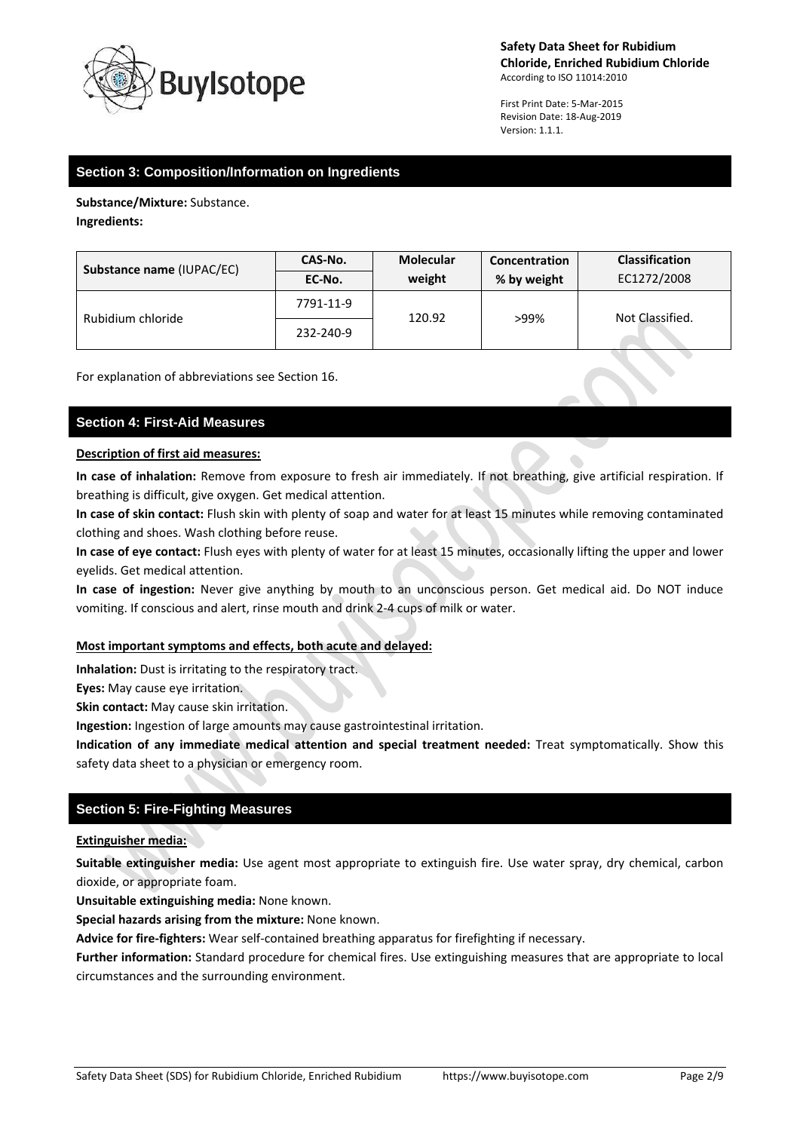

First Print Date: 5-Mar-2015 Revision Date: 18-Aug-2019 Version: 1.1.1.

## **Section 3: Composition/Information on Ingredients**

**Substance/Mixture:** Substance. **Ingredients:**

| Substance name (IUPAC/EC) | <b>CAS-No.</b> | <b>Molecular</b> | Concentration | <b>Classification</b> |
|---------------------------|----------------|------------------|---------------|-----------------------|
|                           | EC-No.         | weight           | % by weight   | EC1272/2008           |
| Rubidium chloride         | 7791-11-9      | 120.92           | >99%          | Not Classified.       |
|                           | 232-240-9      |                  |               |                       |

For explanation of abbreviations see Section 16.

# **Section 4: First-Aid Measures**

### **Description of first aid measures:**

**In case of inhalation:** Remove from exposure to fresh air immediately. If not breathing, give artificial respiration. If breathing is difficult, give oxygen. Get medical attention.

**In case of skin contact:** Flush skin with plenty of soap and water for at least 15 minutes while removing contaminated clothing and shoes. Wash clothing before reuse.

**In case of eye contact:** Flush eyes with plenty of water for at least 15 minutes, occasionally lifting the upper and lower eyelids. Get medical attention.

**In case of ingestion:** Never give anything by mouth to an unconscious person. Get medical aid. Do NOT induce vomiting. If conscious and alert, rinse mouth and drink 2-4 cups of milk or water.

## **Most important symptoms and effects, both acute and delayed:**

**Inhalation:** Dust is irritating to the respiratory tract.

**Eyes:** May cause eye irritation.

**Skin contact:** May cause skin irritation.

**Ingestion:** Ingestion of large amounts may cause gastrointestinal irritation.

**Indication of any immediate medical attention and special treatment needed:** Treat symptomatically. Show this safety data sheet to a physician or emergency room.

## **Section 5: Fire-Fighting Measures**

## **Extinguisher media:**

**Suitable extinguisher media:** Use agent most appropriate to extinguish fire. Use water spray, dry chemical, carbon dioxide, or appropriate foam.

**Unsuitable extinguishing media:** None known.

**Special hazards arising from the mixture:** None known.

**Advice for fire-fighters:** Wear self-contained breathing apparatus for firefighting if necessary.

**Further information:** Standard procedure for chemical fires. Use extinguishing measures that are appropriate to local circumstances and the surrounding environment.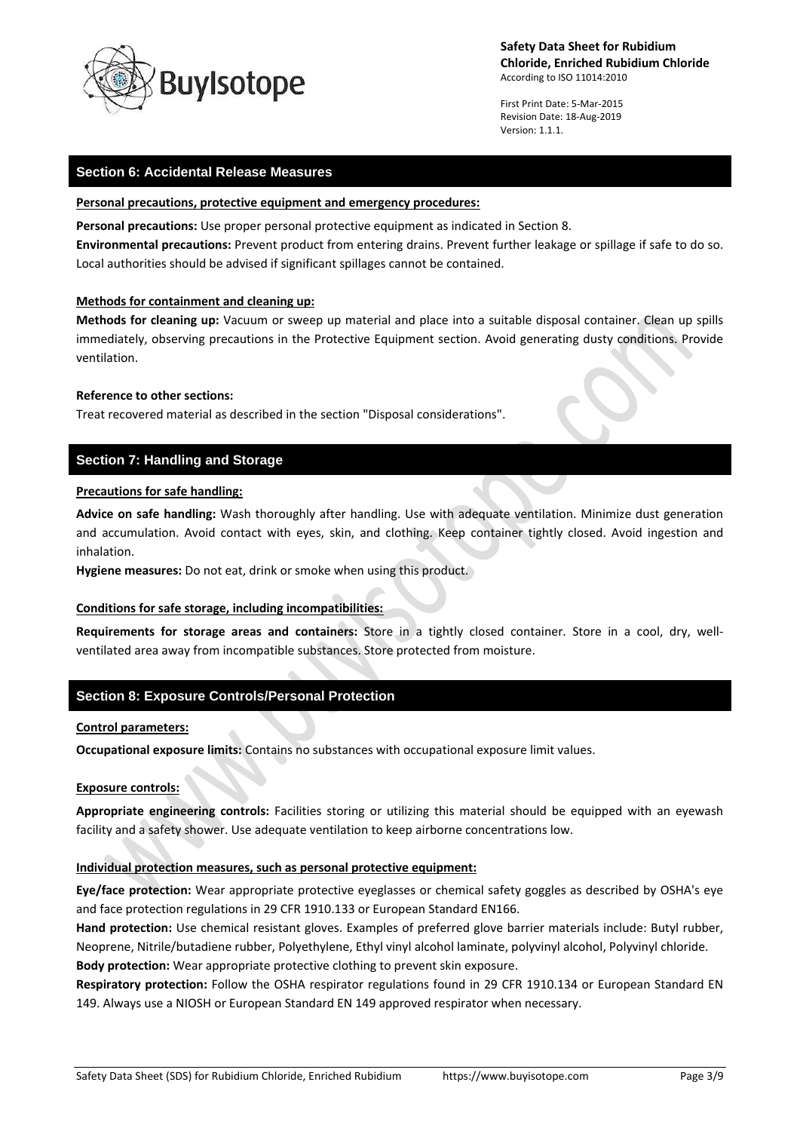

First Print Date: 5-Mar-2015 Revision Date: 18-Aug-2019 Version: 1.1.1.

### **Section 6: Accidental Release Measures**

#### **Personal precautions, protective equipment and emergency procedures:**

**Personal precautions:** Use proper personal protective equipment as indicated in Section 8.

**Environmental precautions:** Prevent product from entering drains. Prevent further leakage or spillage if safe to do so. Local authorities should be advised if significant spillages cannot be contained.

### **Methods for containment and cleaning up:**

**Methods for cleaning up:** Vacuum or sweep up material and place into a suitable disposal container. Clean up spills immediately, observing precautions in the Protective Equipment section. Avoid generating dusty conditions. Provide ventilation.

### **Reference to other sections:**

Treat recovered material as described in the section "Disposal considerations".

## **Section 7: Handling and Storage**

### **Precautions for safe handling:**

**Advice on safe handling:** Wash thoroughly after handling. Use with adequate ventilation. Minimize dust generation and accumulation. Avoid contact with eyes, skin, and clothing. Keep container tightly closed. Avoid ingestion and inhalation.

**Hygiene measures:** Do not eat, drink or smoke when using this product.

### **Conditions for safe storage, including incompatibilities:**

**Requirements for storage areas and containers:** Store in a tightly closed container. Store in a cool, dry, wellventilated area away from incompatible substances. Store protected from moisture.

## **Section 8: Exposure Controls/Personal Protection**

### **Control parameters:**

**Occupational exposure limits:** Contains no substances with occupational exposure limit values.

### **Exposure controls:**

**Appropriate engineering controls:** Facilities storing or utilizing this material should be equipped with an eyewash facility and a safety shower. Use adequate ventilation to keep airborne concentrations low.

### **Individual protection measures, such as personal protective equipment:**

**Eye/face protection:** Wear appropriate protective eyeglasses or chemical safety goggles as described by OSHA's eye and face protection regulations in 29 CFR 1910.133 or European Standard EN166.

**Hand protection:** Use chemical resistant gloves. Examples of preferred glove barrier materials include: Butyl rubber, Neoprene, Nitrile/butadiene rubber, Polyethylene, Ethyl vinyl alcohol laminate, polyvinyl alcohol, Polyvinyl chloride. **Body protection:** Wear appropriate protective clothing to prevent skin exposure.

**Respiratory protection:** Follow the OSHA respirator regulations found in 29 CFR 1910.134 or European Standard EN 149. Always use a NIOSH or European Standard EN 149 approved respirator when necessary.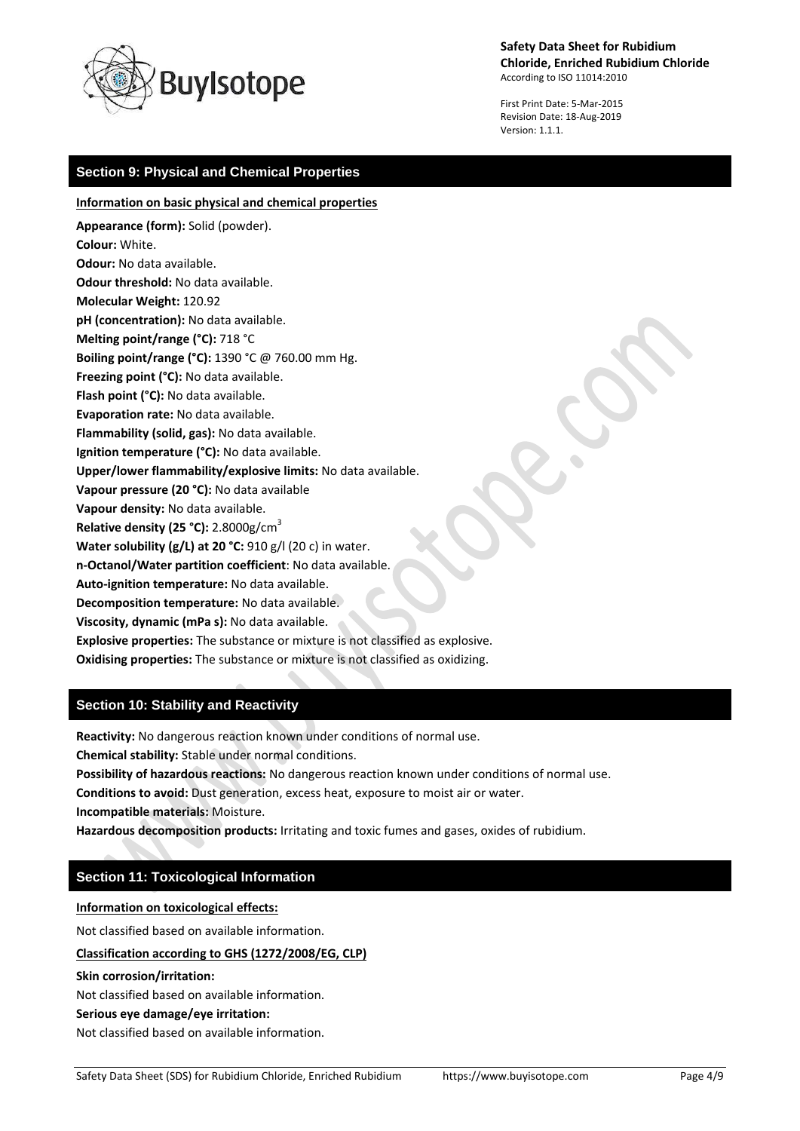

First Print Date: 5-Mar-2015 Revision Date: 18-Aug-2019 Version: 1.1.1.

# **Section 9: Physical and Chemical Properties**

### **Information on basic physical and chemical properties**

**Appearance (form):** Solid (powder). **Colour:** White. **Odour:** No data available. **Odour threshold:** No data available. **Molecular Weight:** 120.92 **pH (concentration):** No data available. **Melting point/range (°C):** 718 °C **Boiling point/range (°C):** 1390 °C @ 760.00 mm Hg. **Freezing point (°C):** No data available. **Flash point (°C):** No data available. **Evaporation rate:** No data available. **Flammability (solid, gas):** No data available. **Ignition temperature (°C):** No data available. **Upper/lower flammability/explosive limits:** No data available. **Vapour pressure (20 °C):** No data available **Vapour density:** No data available. **Relative density (25 °C):** 2.8000g/cm<sup>3</sup> **Water solubility (g/L) at 20 °C:** 910 g/l (20 c) in water. **n-Octanol/Water partition coefficient**: No data available. **Auto-ignition temperature:** No data available. **Decomposition temperature:** No data available. **Viscosity, dynamic (mPa s):** No data available. **Explosive properties:** The substance or mixture is not classified as explosive.

**Oxidising properties:** The substance or mixture is not classified as oxidizing.

# **Section 10: Stability and Reactivity**

**Reactivity:** No dangerous reaction known under conditions of normal use.

**Chemical stability:** Stable under normal conditions.

**Possibility of hazardous reactions:** No dangerous reaction known under conditions of normal use.

**Conditions to avoid:** Dust generation, excess heat, exposure to moist air or water.

**Incompatible materials:** Moisture.

**Hazardous decomposition products:** Irritating and toxic fumes and gases, oxides of rubidium.

## **Section 11: Toxicological Information**

**Information on toxicological effects:**

Not classified based on available information.

**Classification according to GHS (1272/2008/EG, CLP)**

**Skin corrosion/irritation:**

Not classified based on available information.

#### **Serious eye damage/eye irritation:**

Not classified based on available information.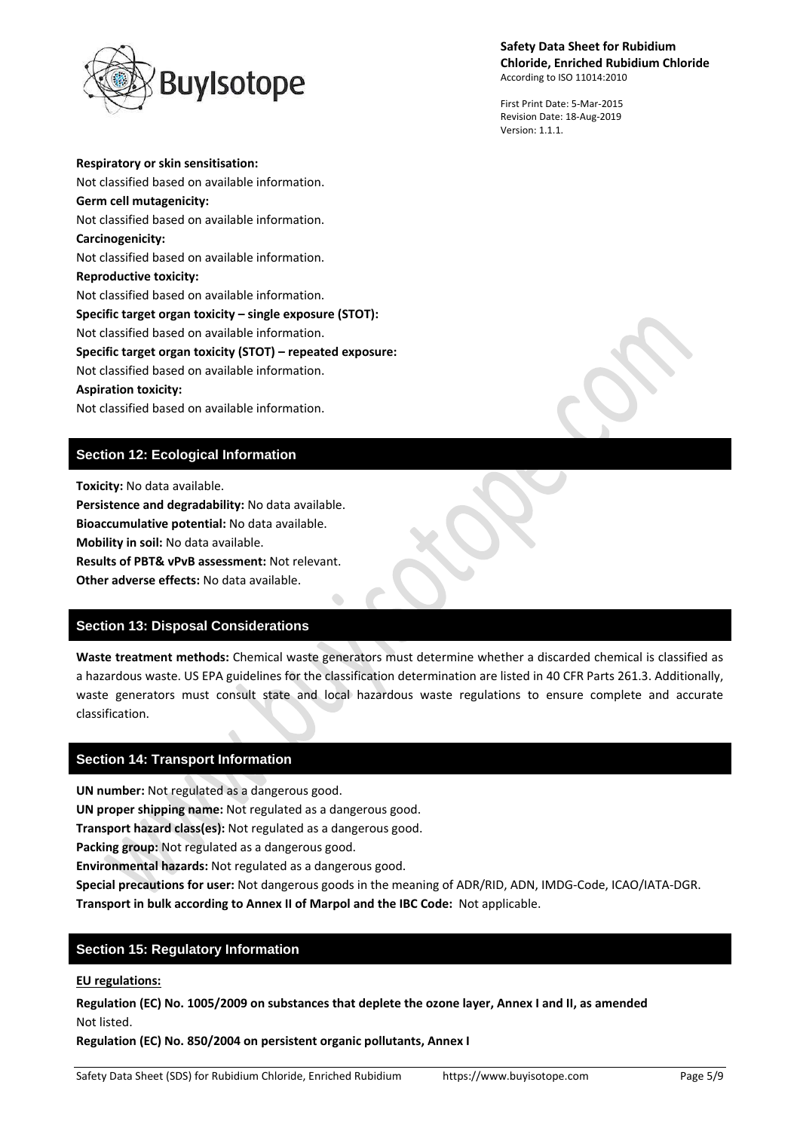

First Print Date: 5-Mar-2015 Revision Date: 18-Aug-2019 Version: 1.1.1.

**Respiratory or skin sensitisation:** Not classified based on available information. **Germ cell mutagenicity:** Not classified based on available information. **Carcinogenicity:** Not classified based on available information. **Reproductive toxicity:** Not classified based on available information. **Specific target organ toxicity – single exposure (STOT):** Not classified based on available information. **Specific target organ toxicity (STOT) – repeated exposure:** Not classified based on available information. **Aspiration toxicity:** Not classified based on available information.

# **Section 12: Ecological Information**

**Toxicity:** No data available.

**Persistence and degradability:** No data available.

**Bioaccumulative potential:** No data available.

**Mobility in soil:** No data available.

**Results of PBT& vPvB assessment:** Not relevant.

**Other adverse effects:** No data available.

## **Section 13: Disposal Considerations**

**Waste treatment methods:** Chemical waste generators must determine whether a discarded chemical is classified as a hazardous waste. US EPA guidelines for the classification determination are listed in 40 CFR Parts 261.3. Additionally, waste generators must consult state and local hazardous waste regulations to ensure complete and accurate classification.

## **Section 14: Transport Information**

**UN number:** Not regulated as a dangerous good.

**UN proper shipping name:** Not regulated as a dangerous good.

**Transport hazard class(es):** Not regulated as a dangerous good.

**Packing group:** Not regulated as a dangerous good.

**Environmental hazards:** Not regulated as a dangerous good.

**Special precautions for user:** Not dangerous goods in the meaning of ADR/RID, ADN, IMDG-Code, ICAO/IATA-DGR. **Transport in bulk according to Annex II of Marpol and the IBC Code:** Not applicable.

## **Section 15: Regulatory Information**

### **EU regulations:**

**Regulation (EC) No. 1005/2009 on substances that deplete the ozone layer, Annex I and II, as amended** Not listed.

**Regulation (EC) No. 850/2004 on persistent organic pollutants, Annex I**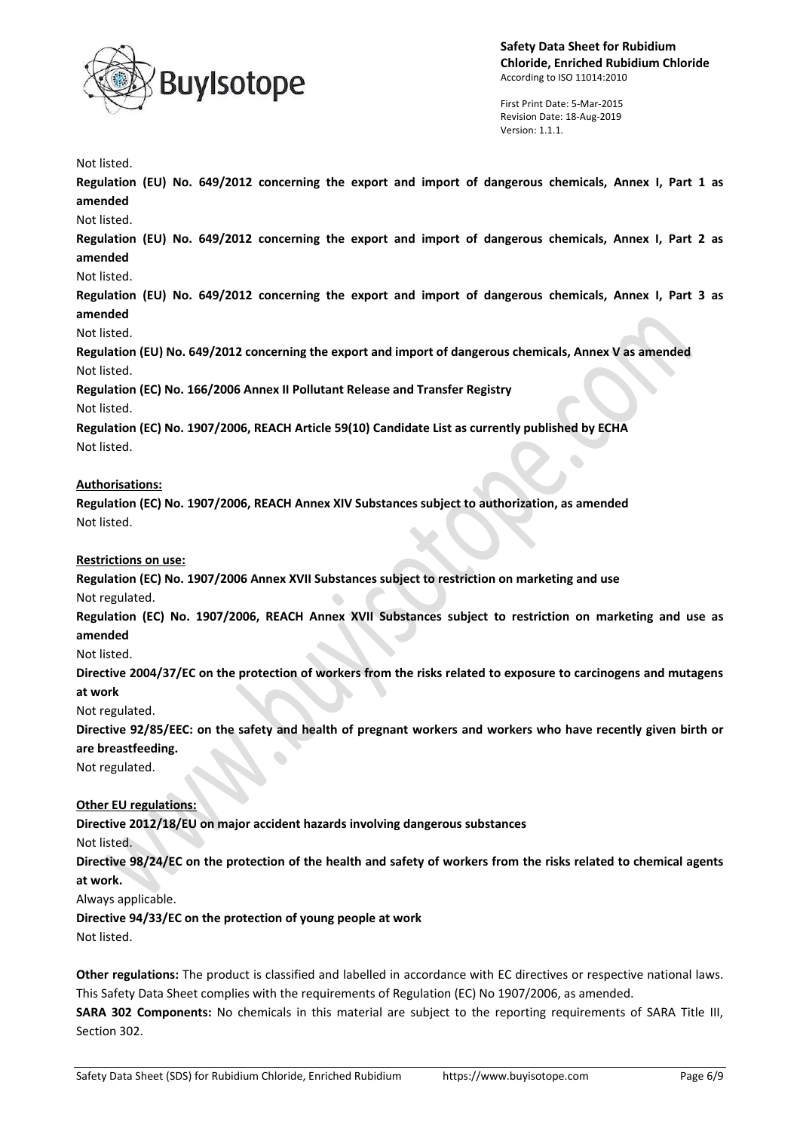

First Print Date: 5-Mar-2015 Revision Date: 18-Aug-2019 Version: 1.1.1.

Not listed.

**Regulation (EU) No. 649/2012 concerning the export and import of dangerous chemicals, Annex I, Part 1 as amended**

Not listed.

**Regulation (EU) No. 649/2012 concerning the export and import of dangerous chemicals, Annex I, Part 2 as amended**

Not listed.

**Regulation (EU) No. 649/2012 concerning the export and import of dangerous chemicals, Annex I, Part 3 as amended**

Not listed.

**Regulation (EU) No. 649/2012 concerning the export and import of dangerous chemicals, Annex V as amended** Not listed.

**Regulation (EC) No. 166/2006 Annex II Pollutant Release and Transfer Registry**

Not listed.

**Regulation (EC) No. 1907/2006, REACH Article 59(10) Candidate List as currently published by ECHA** Not listed.

### **Authorisations:**

**Regulation (EC) No. 1907/2006, REACH Annex XIV Substances subject to authorization, as amended** Not listed.

### **Restrictions on use:**

**Regulation (EC) No. 1907/2006 Annex XVII Substances subject to restriction on marketing and use** Not regulated.

**Regulation (EC) No. 1907/2006, REACH Annex XVII Substances subject to restriction on marketing and use as amended**

Not listed.

**Directive 2004/37/EC on the protection of workers from the risks related to exposure to carcinogens and mutagens at work**

Not regulated.

**Directive 92/85/EEC: on the safety and health of pregnant workers and workers who have recently given birth or are breastfeeding.**

Not regulated.

## **Other EU regulations:**

**Directive 2012/18/EU on major accident hazards involving dangerous substances**

Not listed.

**Directive 98/24/EC on the protection of the health and safety of workers from the risks related to chemical agents at work.**

Always applicable.

**Directive 94/33/EC on the protection of young people at work**

Not listed.

**Other regulations:** The product is classified and labelled in accordance with EC directives or respective national laws. This Safety Data Sheet complies with the requirements of Regulation (EC) No 1907/2006, as amended.

**SARA 302 Components:** No chemicals in this material are subject to the reporting requirements of SARA Title III, Section 302.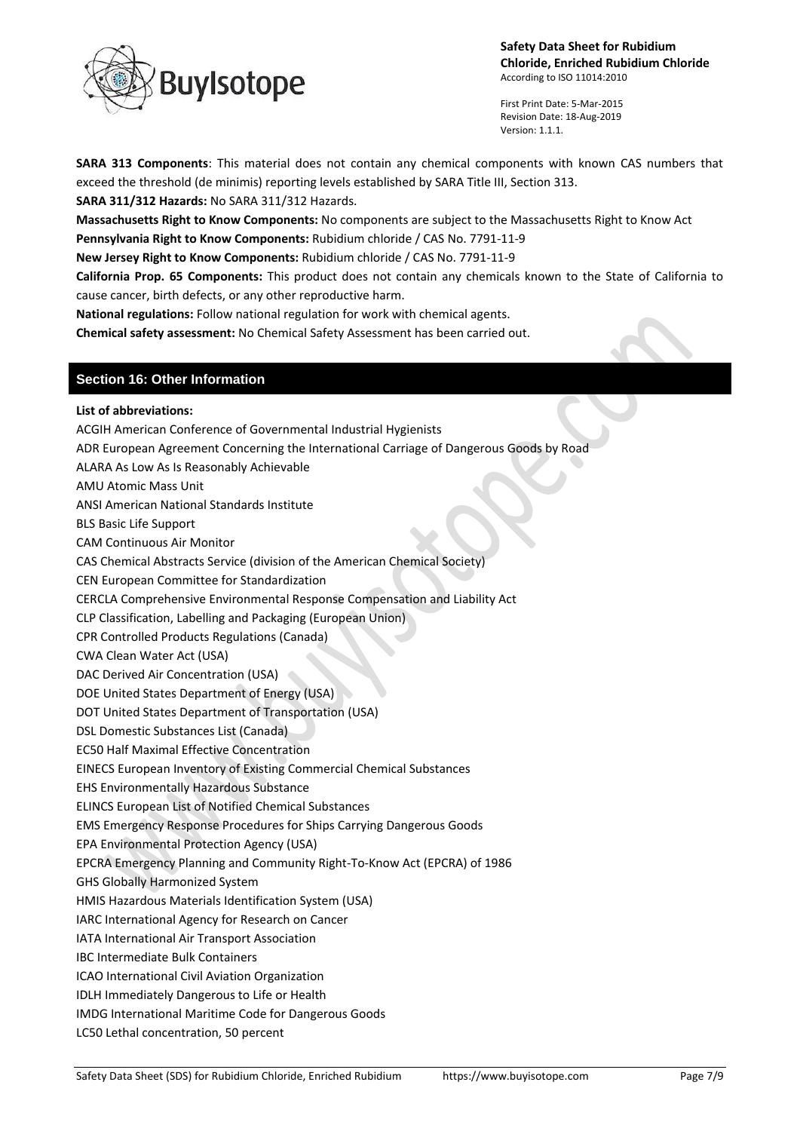

First Print Date: 5-Mar-2015 Revision Date: 18-Aug-2019 Version: 1.1.1.

**SARA 313 Components**: This material does not contain any chemical components with known CAS numbers that exceed the threshold (de minimis) reporting levels established by SARA Title III, Section 313.

**SARA 311/312 Hazards:** No SARA 311/312 Hazards. **Massachusetts Right to Know Components:** No components are subject to the Massachusetts Right to Know Act

**Pennsylvania Right to Know Components:** Rubidium chloride / CAS No. 7791-11-9

**New Jersey Right to Know Components:** Rubidium chloride / CAS No. 7791-11-9

**California Prop. 65 Components:** This product does not contain any chemicals known to the State of California to cause cancer, birth defects, or any other reproductive harm.

**National regulations:** Follow national regulation for work with chemical agents.

**Chemical safety assessment:** No Chemical Safety Assessment has been carried out.

Safety Data Sheet (SDS) for Rubidium Chloride, Enriched Rubidium https://www.buyisotope.com Page 7/9 **Section 16: Other Information List of abbreviations:** ACGIH American Conference of Governmental Industrial Hygienists ADR European Agreement Concerning the International Carriage of Dangerous Goods by Road ALARA As Low As Is Reasonably Achievable AMU Atomic Mass Unit ANSI American National Standards Institute BLS Basic Life Support CAM Continuous Air Monitor CAS Chemical Abstracts Service (division of the American Chemical Society) CEN European Committee for Standardization CERCLA Comprehensive Environmental Response Compensation and Liability Act CLP Classification, Labelling and Packaging (European Union) CPR Controlled Products Regulations (Canada) CWA Clean Water Act (USA) DAC Derived Air Concentration (USA) DOE United States Department of Energy (USA) DOT United States Department of Transportation (USA) DSL Domestic Substances List (Canada) EC50 Half Maximal Effective Concentration EINECS European Inventory of Existing Commercial Chemical Substances EHS Environmentally Hazardous Substance ELINCS European List of Notified Chemical Substances EMS Emergency Response Procedures for Ships Carrying Dangerous Goods EPA Environmental Protection Agency (USA) EPCRA Emergency Planning and Community Right-To-Know Act (EPCRA) of 1986 GHS Globally Harmonized System HMIS Hazardous Materials Identification System (USA) IARC International Agency for Research on Cancer IATA International Air Transport Association IBC Intermediate Bulk Containers ICAO International Civil Aviation Organization IDLH Immediately Dangerous to Life or Health IMDG International Maritime Code for Dangerous Goods LC50 Lethal concentration, 50 percent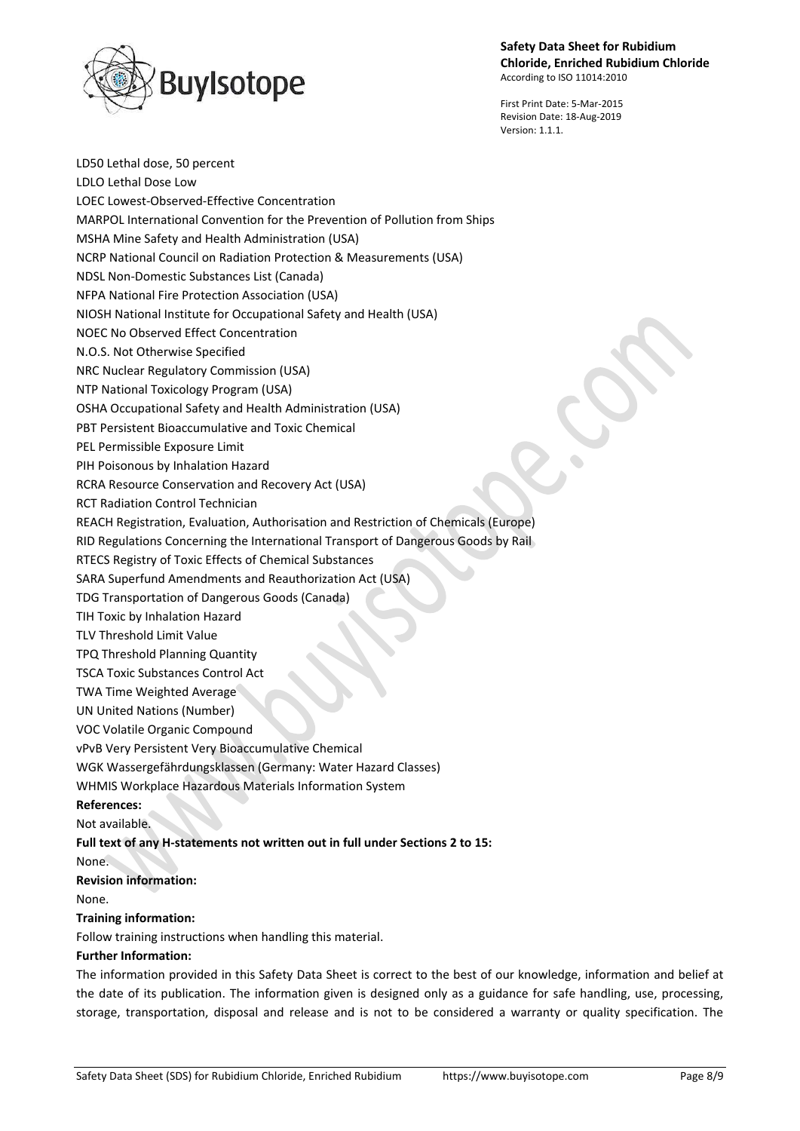

LD50 Lethal dose, 50 percent

First Print Date: 5-Mar-2015 Revision Date: 18-Aug-2019 Version: 1.1.1.

LDLO Lethal Dose Low LOEC Lowest-Observed-Effective Concentration MARPOL International Convention for the Prevention of Pollution from Ships MSHA Mine Safety and Health Administration (USA) NCRP National Council on Radiation Protection & Measurements (USA) NDSL Non-Domestic Substances List (Canada) NFPA National Fire Protection Association (USA) NIOSH National Institute for Occupational Safety and Health (USA) NOEC No Observed Effect Concentration N.O.S. Not Otherwise Specified NRC Nuclear Regulatory Commission (USA) NTP National Toxicology Program (USA) OSHA Occupational Safety and Health Administration (USA) PBT Persistent Bioaccumulative and Toxic Chemical PEL Permissible Exposure Limit PIH Poisonous by Inhalation Hazard RCRA Resource Conservation and Recovery Act (USA) RCT Radiation Control Technician REACH Registration, Evaluation, Authorisation and Restriction of Chemicals (Europe) RID Regulations Concerning the International Transport of Dangerous Goods by Rail RTECS Registry of Toxic Effects of Chemical Substances SARA Superfund Amendments and Reauthorization Act (USA) TDG Transportation of Dangerous Goods (Canada) TIH Toxic by Inhalation Hazard TLV Threshold Limit Value TPQ Threshold Planning Quantity TSCA Toxic Substances Control Act TWA Time Weighted Average UN United Nations (Number) VOC Volatile Organic Compound vPvB Very Persistent Very Bioaccumulative Chemical WGK Wassergefährdungsklassen (Germany: Water Hazard Classes) WHMIS Workplace Hazardous Materials Information System **References:** Not available.

# **Full text of any H-statements not written out in full under Sections 2 to 15:**

None.

**Revision information:**

None.

## **Training information:**

Follow training instructions when handling this material.

## **Further Information:**

The information provided in this Safety Data Sheet is correct to the best of our knowledge, information and belief at the date of its publication. The information given is designed only as a guidance for safe handling, use, processing, storage, transportation, disposal and release and is not to be considered a warranty or quality specification. The